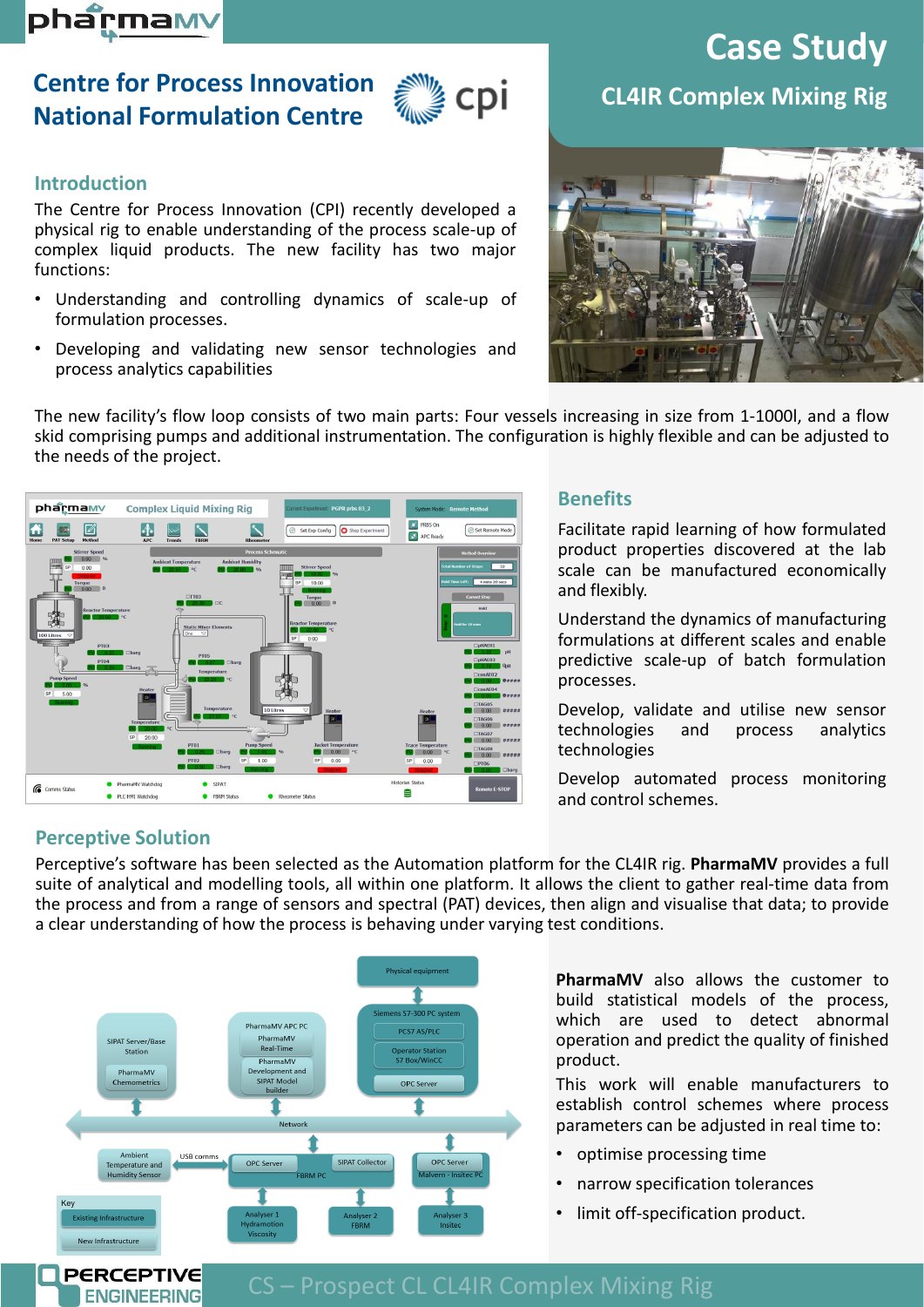# pharmam

# **Centre for Process Innovation National Formulation Centre**



## **Introduction**

The Centre for Process Innovation (CPI) recently developed a physical rig to enable understanding of the process scale-up of complex liquid products. The new facility has two major functions:

- Understanding and controlling dynamics of scale-up of formulation processes.
- Developing and validating new sensor technologies and process analytics capabilities

# **Case Study CL4IR Complex Mixing Rig**



The new facility's flow loop consists of two main parts: Four vessels increasing in size from 1-1000l, and a flow skid comprising pumps and additional instrumentation. The configuration is highly flexible and can be adjusted to the needs of the project.



### **Benefits**

Facilitate rapid learning of how formulated product properties discovered at the lab scale can be manufactured economically and flexibly.

Understand the dynamics of manufacturing formulations at different scales and enable predictive scale-up of batch formulation processes.

Develop, validate and utilise new sensor technologies and process analytics technologies

Develop automated process monitoring and control schemes.

## **Perceptive Solution**

**PERCEPTIVE ENGINEERING** 

Perceptive's software has been selected as the Automation platform for the CL4IR rig. **PharmaMV** provides a full suite of analytical and modelling tools, all within one platform. It allows the client to gather real-time data from the process and from a range of sensors and spectral (PAT) devices, then align and visualise that data; to provide a clear understanding of how the process is behaving under varying test conditions.



**PharmaMV** also allows the customer to build statistical models of the process, which are used to detect abnormal operation and predict the quality of finished product.

This work will enable manufacturers to establish control schemes where process parameters can be adjusted in real time to:

- optimise processing time
- narrow specification tolerances
- limit off-specification product.

# CS – Prospect CL CL4IR Complex Mixing Rig